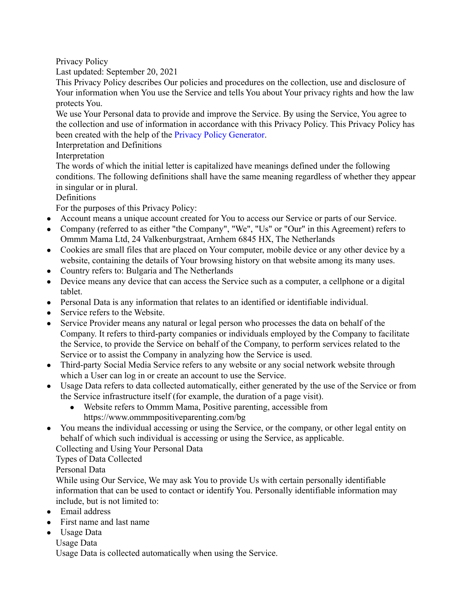Privacy Policy

Last updated: September 20, 2021

This Privacy Policy describes Our policies and procedures on the collection, use and disclosure of Your information when You use the Service and tells You about Your privacy rights and how the law protects You.

We use Your Personal data to provide and improve the Service. By using the Service, You agree to the collection and use of information in accordance with this Privacy Policy. This Privacy Policy has been created with the help of the Privacy Policy [Generator](https://www.freeprivacypolicy.com/free-privacy-policy-generator/).

Interpretation and Definitions

Interpretation

The words of which the initial letter is capitalized have meanings defined under the following conditions. The following definitions shall have the same meaning regardless of whether they appear in singular or in plural.

Definitions

For the purposes of this Privacy Policy:

- Account means a unique account created for You to access our Service or parts of our Service.
- Company (referred to as either "the Company", "We", "Us" or "Our" in this Agreement) refers to Ommm Mama Ltd, 24 Valkenburgstraat, Arnhem 6845 HX, The Netherlands
- Cookies are small files that are placed on Your computer, mobile device or any other device by a website, containing the details of Your browsing history on that website among its many uses.
- Country refers to: Bulgaria and The Netherlands
- Device means any device that can access the Service such as a computer, a cellphone or a digital tablet.
- Personal Data is any information that relates to an identified or identifiable individual.
- Service refers to the Website.
- Service Provider means any natural or legal person who processes the data on behalf of the Company. It refers to third-party companies or individuals employed by the Company to facilitate the Service, to provide the Service on behalf of the Company, to perform services related to the Service or to assist the Company in analyzing how the Service is used.
- Third-party Social Media Service refers to any website or any social network website through which a User can log in or create an account to use the Service.
- Usage Data refers to data collected automatically, either generated by the use of the Service or from the Service infrastructure itself (for example, the duration of a page visit).
	- Website refers to Ommm Mama, Positive parenting, accessible from https://www.ommmpositiveparenting.com/bg
- You means the individual accessing or using the Service, or the company, or other legal entity on behalf of which such individual is accessing or using the Service, as applicable.

Collecting and Using Your Personal Data

Types of Data Collected

Personal Data

While using Our Service, We may ask You to provide Us with certain personally identifiable information that can be used to contact or identify You. Personally identifiable information may include, but is not limited to:

- Email address
- First name and last name
- Usage Data
	- Usage Data

Usage Data is collected automatically when using the Service.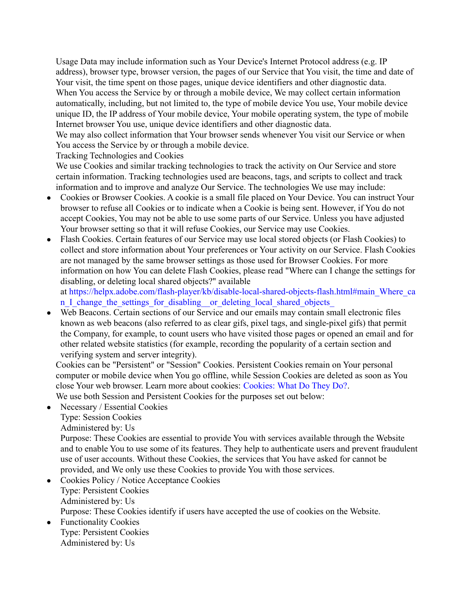Usage Data may include information such as Your Device's Internet Protocol address (e.g. IP address), browser type, browser version, the pages of our Service that You visit, the time and date of Your visit, the time spent on those pages, unique device identifiers and other diagnostic data. When You access the Service by or through a mobile device, We may collect certain information automatically, including, but not limited to, the type of mobile device You use, Your mobile device unique ID, the IP address of Your mobile device, Your mobile operating system, the type of mobile Internet browser You use, unique device identifiers and other diagnostic data.

We may also collect information that Your browser sends whenever You visit our Service or when You access the Service by or through a mobile device.

Tracking Technologies and Cookies

We use Cookies and similar tracking technologies to track the activity on Our Service and store certain information. Tracking technologies used are beacons, tags, and scripts to collect and track information and to improve and analyze Our Service. The technologies We use may include:

- Cookies or Browser Cookies. A cookie is a small file placed on Your Device. You can instruct Your browser to refuse all Cookies or to indicate when a Cookie is being sent. However, if You do not accept Cookies, You may not be able to use some parts of our Service. Unless you have adjusted Your browser setting so that it will refuse Cookies, our Service may use Cookies.
- Flash Cookies. Certain features of our Service may use local stored objects (or Flash Cookies) to collect and store information about Your preferences or Your activity on our Service. Flash Cookies are not managed by the same browser settings as those used for Browser Cookies. For more information on how You can delete Flash Cookies, please read "Where can I change the settings for disabling, or deleting local shared objects?" available

at [https://helpx.adobe.com/flash-player/kb/disable-local-shared-objects-flash.html#main\\_Where\\_ca](https://helpx.adobe.com/flash-player/kb/disable-local-shared-objects-flash.html#main_Where_can_I_change_the_settings_for_disabling__or_deleting_local_shared_objects_) n I change the settings for disabling or deleting local shared objects

• Web Beacons. Certain sections of our Service and our emails may contain small electronic files known as web beacons (also referred to as clear gifs, pixel tags, and single-pixel gifs) that permit the Company, for example, to count users who have visited those pages or opened an email and for other related website statistics (for example, recording the popularity of a certain section and verifying system and server integrity).

Cookies can be "Persistent" or "Session" Cookies. Persistent Cookies remain on Your personal computer or mobile device when You go offline, while Session Cookies are deleted as soon as You close Your web browser. Learn more about cookies: [Cookies:](https://www.freeprivacypolicy.com/blog/cookies/) What Do They Do?.

We use both Session and Persistent Cookies for the purposes set out below:

- Necessary / Essential Cookies Type: Session Cookies Administered by: Us Purpose: These Cookies are essential to provide You with services available through the Website and to enable You to use some of its features. They help to authenticate users and prevent fraudulent use of user accounts. Without these Cookies, the services that You have asked for cannot be provided, and We only use these Cookies to provide You with those services. • Cookies Policy / Notice Acceptance Cookies
- Type: Persistent Cookies Administered by: Us Purpose: These Cookies identify if users have accepted the use of cookies on the Website.
- Functionality Cookies Type: Persistent Cookies Administered by: Us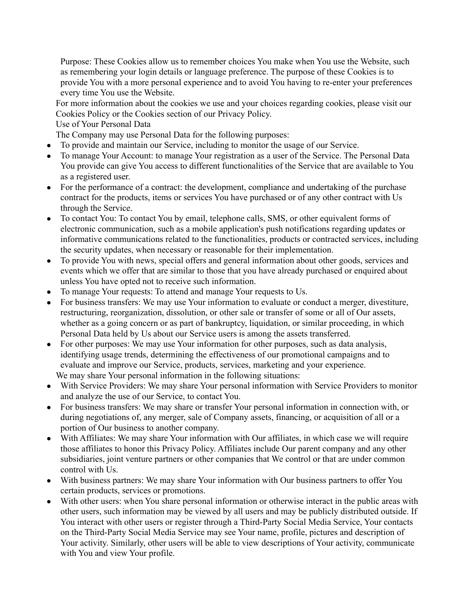Purpose: These Cookies allow us to remember choices You make when You use the Website, such as remembering your login details or language preference. The purpose of these Cookies is to provide You with a more personal experience and to avoid You having to re-enter your preferences every time You use the Website.

For more information about the cookies we use and your choices regarding cookies, please visit our Cookies Policy or the Cookies section of our Privacy Policy.

## Use of Your Personal Data

The Company may use Personal Data for the following purposes:

- To provide and maintain our Service, including to monitor the usage of our Service.
- To manage Your Account: to manage Your registration as a user of the Service. The Personal Data You provide can give You access to different functionalities of the Service that are available to You as a registered user.
- For the performance of a contract: the development, compliance and undertaking of the purchase contract for the products, items or services You have purchased or of any other contract with Us through the Service.
- To contact You: To contact You by email, telephone calls, SMS, or other equivalent forms of electronic communication, such as a mobile application's push notifications regarding updates or informative communications related to the functionalities, products or contracted services, including the security updates, when necessary or reasonable for their implementation.
- To provide You with news, special offers and general information about other goods, services and events which we offer that are similar to those that you have already purchased or enquired about unless You have opted not to receive such information.
- To manage Your requests: To attend and manage Your requests to Us.
- For business transfers: We may use Your information to evaluate or conduct a merger, divestiture, restructuring, reorganization, dissolution, or other sale or transfer of some or all of Our assets, whether as a going concern or as part of bankruptcy, liquidation, or similar proceeding, in which Personal Data held by Us about our Service users is among the assets transferred.
- For other purposes: We may use Your information for other purposes, such as data analysis, identifying usage trends, determining the effectiveness of our promotional campaigns and to evaluate and improve our Service, products, services, marketing and your experience. We may share Your personal information in the following situations:
- With Service Providers: We may share Your personal information with Service Providers to monitor and analyze the use of our Service, to contact You.
- For business transfers: We may share or transfer Your personal information in connection with, or during negotiations of, any merger, sale of Company assets, financing, or acquisition of all or a portion of Our business to another company.
- With Affiliates: We may share Your information with Our affiliates, in which case we will require those affiliates to honor this Privacy Policy. Affiliates include Our parent company and any other subsidiaries, joint venture partners or other companies that We control or that are under common control with Us.
- With business partners: We may share Your information with Our business partners to offer You certain products, services or promotions.
- With other users: when You share personal information or otherwise interact in the public areas with other users, such information may be viewed by all users and may be publicly distributed outside. If You interact with other users or register through a Third-Party Social Media Service, Your contacts on the Third-Party Social Media Service may see Your name, profile, pictures and description of Your activity. Similarly, other users will be able to view descriptions of Your activity, communicate with You and view Your profile.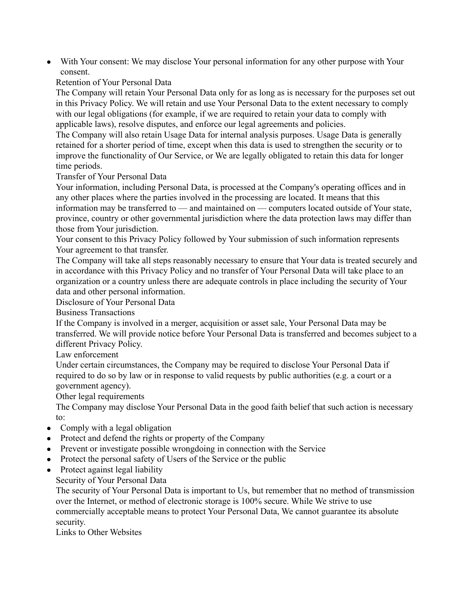● With Your consent: We may disclose Your personal information for any other purpose with Your consent.

Retention of Your Personal Data

The Company will retain Your Personal Data only for as long as is necessary for the purposes set out in this Privacy Policy. We will retain and use Your Personal Data to the extent necessary to comply with our legal obligations (for example, if we are required to retain your data to comply with applicable laws), resolve disputes, and enforce our legal agreements and policies.

The Company will also retain Usage Data for internal analysis purposes. Usage Data is generally retained for a shorter period of time, except when this data is used to strengthen the security or to improve the functionality of Our Service, or We are legally obligated to retain this data for longer time periods.

Transfer of Your Personal Data

Your information, including Personal Data, is processed at the Company's operating offices and in any other places where the parties involved in the processing are located. It means that this information may be transferred to — and maintained on — computers located outside of Your state, province, country or other governmental jurisdiction where the data protection laws may differ than those from Your jurisdiction.

Your consent to this Privacy Policy followed by Your submission of such information represents Your agreement to that transfer.

The Company will take all steps reasonably necessary to ensure that Your data is treated securely and in accordance with this Privacy Policy and no transfer of Your Personal Data will take place to an organization or a country unless there are adequate controls in place including the security of Your data and other personal information.

Disclosure of Your Personal Data

Business Transactions

If the Company is involved in a merger, acquisition or asset sale, Your Personal Data may be transferred. We will provide notice before Your Personal Data is transferred and becomes subject to a different Privacy Policy.

Law enforcement

Under certain circumstances, the Company may be required to disclose Your Personal Data if required to do so by law or in response to valid requests by public authorities (e.g. a court or a government agency).

Other legal requirements

The Company may disclose Your Personal Data in the good faith belief that such action is necessary to:

- Comply with a legal obligation
- Protect and defend the rights or property of the Company
- Prevent or investigate possible wrongdoing in connection with the Service
- Protect the personal safety of Users of the Service or the public
- Protect against legal liability

Security of Your Personal Data

The security of Your Personal Data is important to Us, but remember that no method of transmission over the Internet, or method of electronic storage is 100% secure. While We strive to use commercially acceptable means to protect Your Personal Data, We cannot guarantee its absolute security.

Links to Other Websites